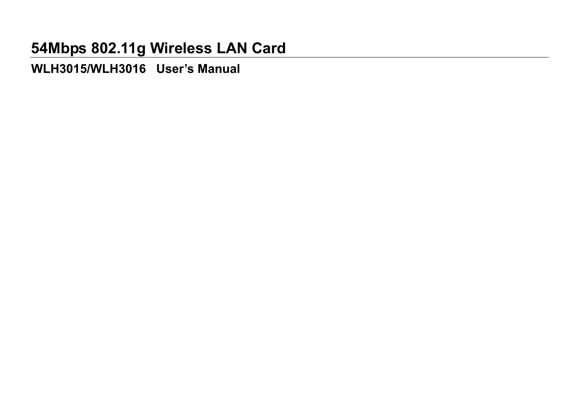**WLH3015/WLH3016 User's Manual**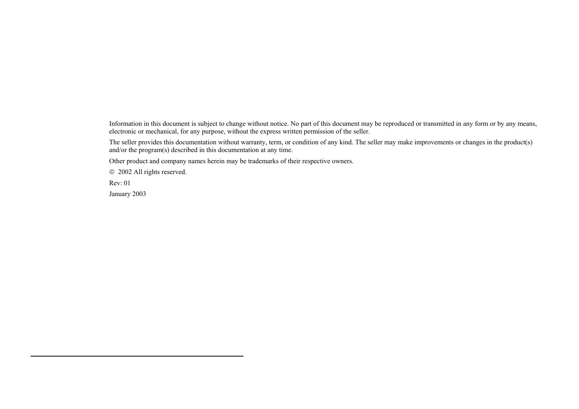Information in this document is subject to change without notice. No part of this document may be reproduced or transmitted in any form or by any means, electronic or mechanical, for any purpose, without the express written permission of the seller.

The seller provides this documentation without warranty, term, or condition of any kind. The seller may make improvements or changes in the product(s) and/or the program(s) described in this documentation at any time.

Other product and company names herein may be trademarks of their respective owners.

2002 All rights reserved.

Rev: 01

January 2003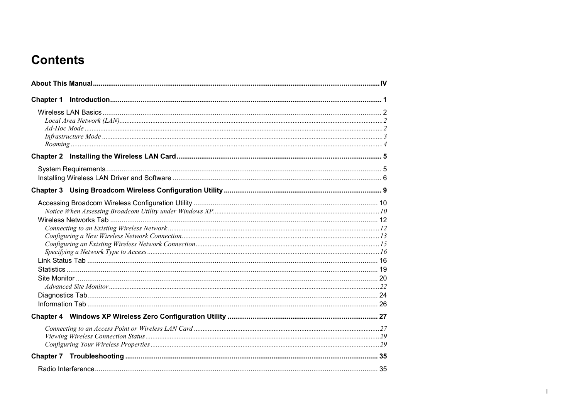# **Contents**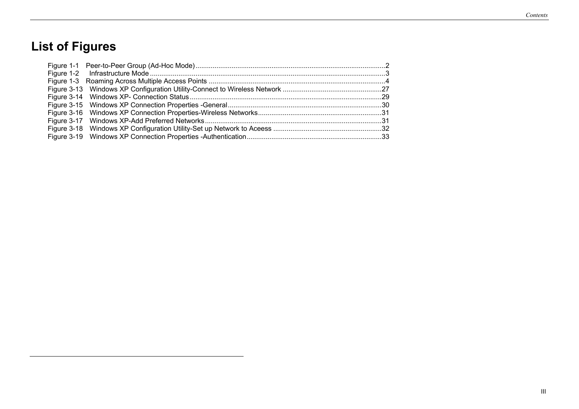# **List of Figures**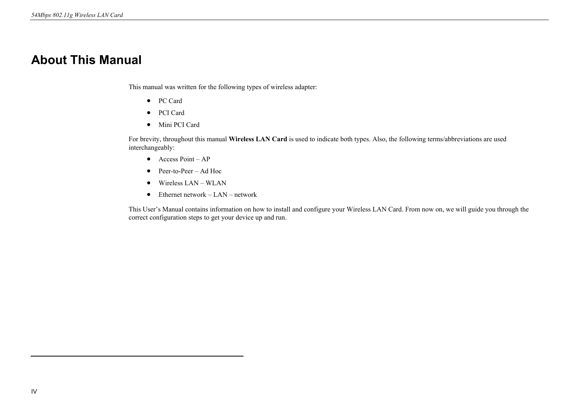## **About This Manual**

This manual was written for the following types of wireless adapter:

- PC Card
- PCI Card
- Mini PCI Card

For brevity, throughout this manual **Wireless LAN Card** is used to indicate both types. Also, the following terms/abbreviations are used interchangeably:

- Access Point AP
- Peer-to-Peer Ad Hoc
- Wireless LAN WLAN
- Ethernet network LAN network

This User's Manual contains information on how to install and configure your Wireless LAN Card. From now on, we will guide you through the correct configuration steps to get your device up and run.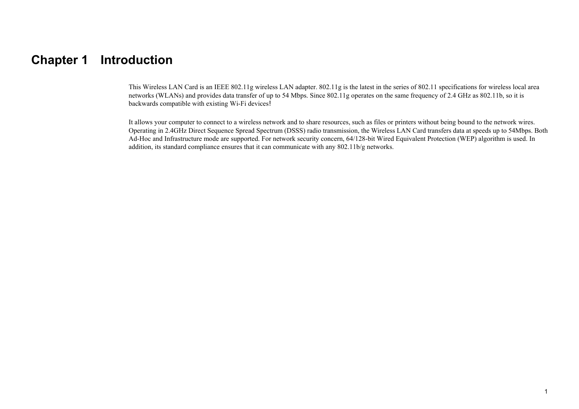## **Chapter 1 Introduction**

This Wireless LAN Card is an IEEE 802.11g wireless LAN adapter. 802.11g is the latest in the series of 802.11 specifications for wireless local area networks (WLANs) and provides data transfer of up to 54 Mbps. Since 802.11g operates on the same frequency of 2.4 GHz as 802.11b, so it is backwards compatible with existing Wi-Fi devices!

It allows your computer to connect to a wireless network and to share resources, such as files or printers without being bound to the network wires. Operating in 2.4GHz Direct Sequence Spread Spectrum (DSSS) radio transmission, the Wireless LAN Card transfers data at speeds up to 54Mbps. Both Ad-Hoc and Infrastructure mode are supported. For network security concern, 64/128-bit Wired Equivalent Protection (WEP) algorithm is used. In addition, its standard compliance ensures that it can communicate with any 802.11b/g networks.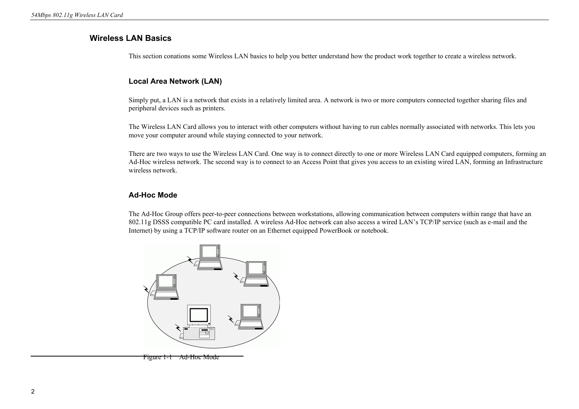## **Wireless LAN Basics**

This section conations some Wireless LAN basics to help you better understand how the product work together to create a wireless network.

#### **Local Area Network (LAN)**

Simply put, a LAN is a network that exists in a relatively limited area. A network is two or more computers connected together sharing files and peripheral devices such as printers.

The Wireless LAN Card allows you to interact with other computers without having to run cables normally associated with networks. This lets you move your computer around while staying connected to your network.

There are two ways to use the Wireless LAN Card. One way is to connect directly to one or more Wireless LAN Card equipped computers, forming an Ad-Hoc wireless network. The second way is to connect to an Access Point that gives you access to an existing wired LAN, forming an Infrastructure wireless network.

#### **Ad-Hoc Mode**

The Ad-Hoc Group offers peer-to-peer connections between workstations, allowing communication between computers within range that have an 802.11g DSSS compatible PC card installed. A wireless Ad-Hoc network can also access a wired LAN's TCP/IP service (such as e-mail and the Internet) by using a TCP/IP software router on an Ethernet equipped PowerBook or notebook.



Figure 1-1 Ad-Hoc Mode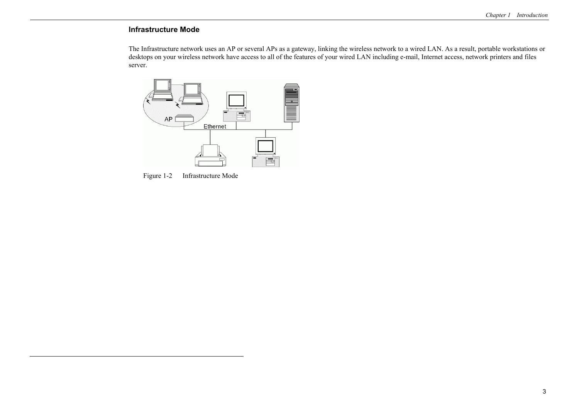#### **Infrastructure Mode**

The Infrastructure network uses an AP or several APs as a gateway, linking the wireless network to a wired LAN. As a result, portable workstations or desktops on your wireless network have access to all of the features of your wired LAN including e-mail, Internet access, network printers and files server.



Figure 1-2 Infrastructure Mode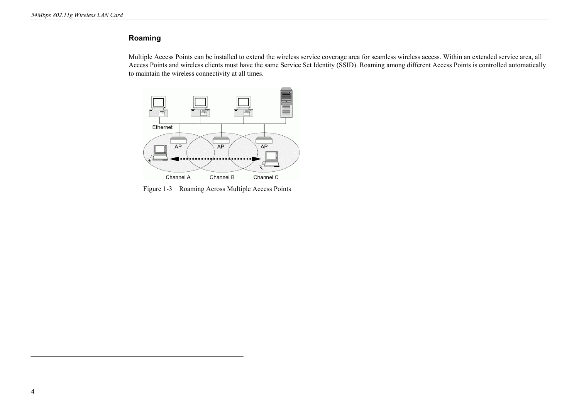### **Roaming**

Multiple Access Points can be installed to extend the wireless service coverage area for seamless wireless access. Within an extended service area, all Access Points and wireless clients must have the same Service Set Identity (SSID). Roaming among different Access Points is controlled automatically to maintain the wireless connectivity at all times.



Figure 1-3 Roaming Across Multiple Access Points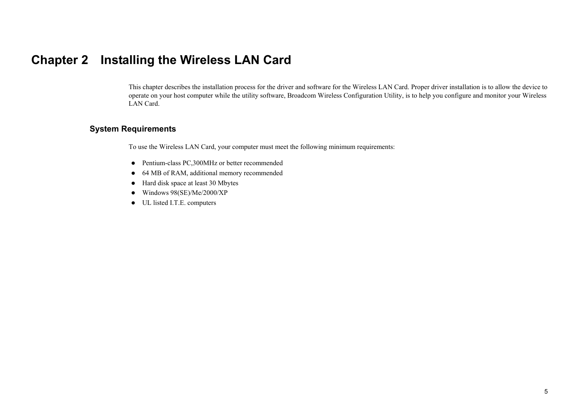## **Chapter 2 Installing the Wireless LAN Card**

This chapter describes the installation process for the driver and software for the Wireless LAN Card. Proper driver installation is to allow the device to operate on your host computer while the utility software, Broadcom Wireless Configuration Utility, is to help you configure and monitor your Wireless LAN Card.

## **System Requirements**

To use the Wireless LAN Card, your computer must meet the following minimum requirements:

- Pentium-class PC,300MHz or better recommended
- 64 MB of RAM, additional memory recommended
- $\bullet$  Hard disk space at least 30 Mbytes
- $\bullet$  Windows 98(SE)/Me/2000/XP
- UL listed I.T.E. computers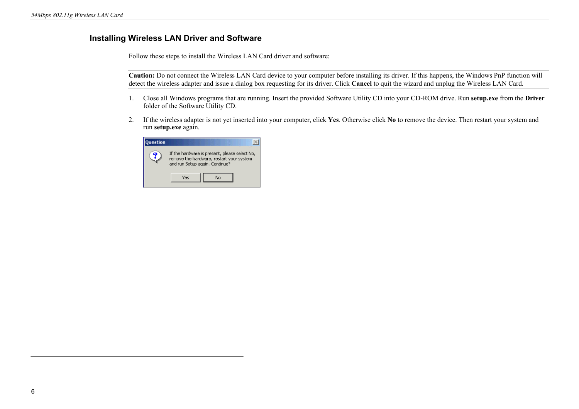## **Installing Wireless LAN Driver and Software**

Follow these steps to install the Wireless LAN Card driver and software:

**Caution:** Do not connect the Wireless LAN Card device to your computer before installing its driver. If this happens, the Windows PnP function will detect the wireless adapter and issue a dialog box requesting for its driver. Click **Cancel** to quit the wizard and unplug the Wireless LAN Card.

- 1. Close all Windows programs that are running. Insert the provided Software Utility CD into your CD-ROM drive. Run **setup.exe** from the **Driver** folder of the Software Utility CD.
- 2. If the wireless adapter is not yet inserted into your computer, click **Yes**. Otherwise click **No** to remove the device. Then restart your system and run **setup.exe** again.

| <b>Juestion</b> |                                                                                                                             |  |
|-----------------|-----------------------------------------------------------------------------------------------------------------------------|--|
|                 | If the hardware is present, please select No,<br>remove the hardware, restart your system<br>and run Setup again, Continue? |  |
|                 | Yes<br>No                                                                                                                   |  |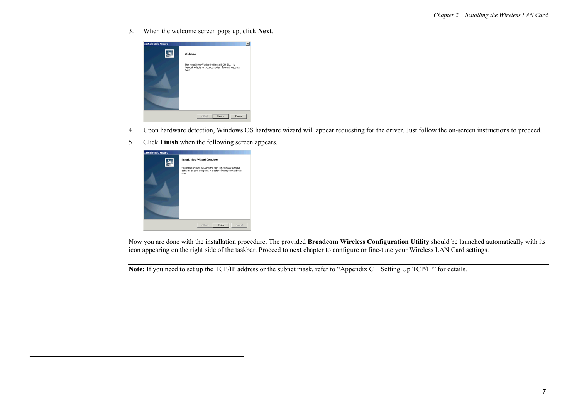3. When the welcome screen pops up, click **Next**.



- 4. Upon hardware detection, Windows OS hardware wizard will appear requesting for the driver. Just follow the on-screen instructions to proceed.
- 5. Click **Finish** when the following screen appears.



Now you are done with the installation procedure. The provided **Broadcom Wireless Configuration Utility** should be launched automatically with its icon appearing on the right side of the taskbar. Proceed to next chapter to configure or fine-tune your Wireless LAN Card settings.

**Note:** If you need to set up the TCP/IP address or the subnet mask, refer to "Appendix C Setting Up TCP/IP" for details.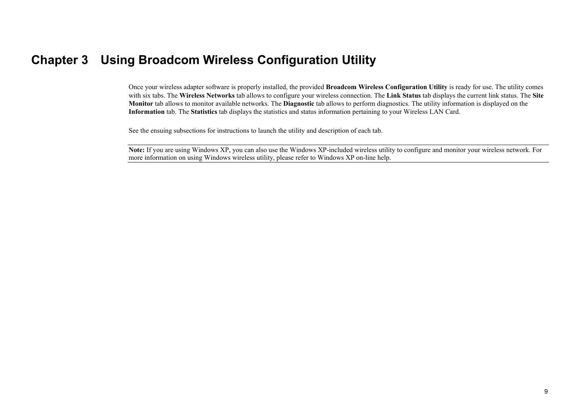## **Chapter 3 Using Broadcom Wireless Configuration Utility**

Once your wireless adapter software is properly installed, the provided **Broadcom Wireless Configuration Utility** is ready for use. The utility comes with six tabs. The **Wireless Networks** tab allows to configure your wireless connection. The **Link Status** tab displays the current link status. The **Site Monitor** tab allows to monitor available networks. The **Diagnostic** tab allows to perform diagnostics. The utility information is displayed on the **Information** tab. The **Statistics** tab displays the statistics and status information pertaining to your Wireless LAN Card.

See the ensuing subsections for instructions to launch the utility and description of each tab.

**Note:** If you are using Windows XP, you can also use the Windows XP-included wireless utility to configure and monitor your wireless network. For more information on using Windows wireless utility, please refer to Windows XP on-line help.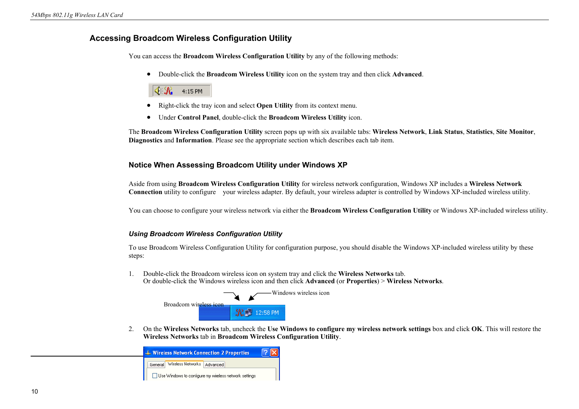### **Accessing Broadcom Wireless Configuration Utility**

You can access the **Broadcom Wireless Configuration Utility** by any of the following methods:

• Double-click the **Broadcom Wireless Utility** icon on the system tray and then click **Advanced**.

## 4:15 PM

- Right-click the tray icon and select **Open Utility** from its context menu.
- Under **Control Panel**, double-click the **Broadcom Wireless Utility** icon.

The **Broadcom Wireless Configuration Utility** screen pops up with six available tabs: **Wireless Network**, **Link Status**, **Statistics**, **Site Monitor**, **Diagnostics** and **Information**. Please see the appropriate section which describes each tab item.

#### **Notice When Assessing Broadcom Utility under Windows XP**

Aside from using **Broadcom Wireless Configuration Utility** for wireless network configuration, Windows XP includes a **Wireless Network Connection** utility to configure your wireless adapter. By default, your wireless adapter is controlled by Windows XP-included wireless utility.

You can choose to configure your wireless network via either the **Broadcom Wireless Configuration Utility** or Windows XP-included wireless utility.

#### *Using Broadcom Wireless Configuration Utility*

To use Broadcom Wireless Configuration Utility for configuration purpose, you should disable the Windows XP-included wireless utility by these steps:

1. Double-click the Broadcom wireless icon on system tray and click the **Wireless Networks** tab. Or double-click the Windows wireless icon and then click **Advanced** (or **Properties**) <sup>&</sup>gt;**Wireless Networks**.



2. On the **Wireless Networks** tab, uncheck the **Use Windows to configure my wireless network settings** box and click **OK**. This will restore the **Wireless Networks** tab in **Broadcom Wireless Configuration Utility**.

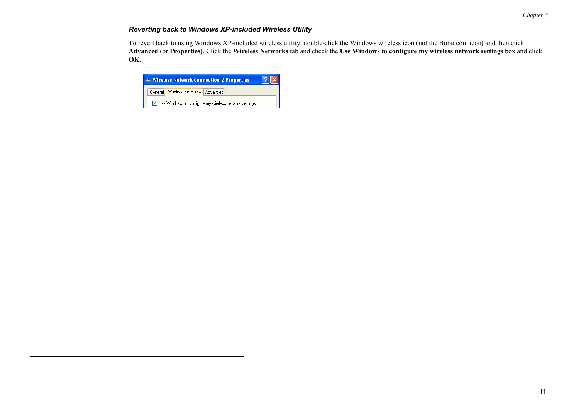## *Reverting back to Windows XP-included Wireless Utility*

To revert back to using Windows XP-included wireless utility, double-click the Windows wireless icon (not the Boradcom icon) and then click **Advanced** (or **Properties**). Click the **Wireless Networks** tab and check the **Use Windows to configure my wireless network settings** box and click **OK**.

|         |                   | <b>4. Wireless Network Connection 2 Properties</b>           |  |
|---------|-------------------|--------------------------------------------------------------|--|
| General | Wireless Networks | Advanced <sup>1</sup>                                        |  |
|         |                   | $\vee$ Use Windows to configure my wireless network settings |  |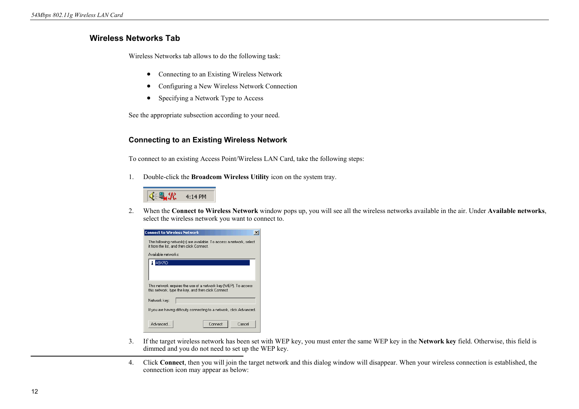## **Wireless Networks Tab**

Wireless Networks tab allows to do the following task:

- Connecting to an Existing Wireless Network
- Configuring a New Wireless Network Connection
- Specifying a Network Type to Access

See the appropriate subsection according to your need.

#### **Connecting to an Existing Wireless Network**

To connect to an existing Access Point/Wireless LAN Card, take the following steps:

1. Double-click the **Broadcom Wireless Utility** icon on the system tray.



2. When the **Connect to Wireless Network** window pops up, you will see all the wireless networks available in the air. Under **Available networks**, select the wireless network you want to connect to.

| <b>Connect to Wireless Network</b>                                                                                     |
|------------------------------------------------------------------------------------------------------------------------|
| The following network[s] are available. To access a network, select<br>it from the list, and then click Connect.       |
| Available networks:                                                                                                    |
| ASKRD                                                                                                                  |
| This network requires the use of a network key (WEP). To access<br>this network, type the key, and then click Connect. |
| Network key:                                                                                                           |
| If you are having difficulty connecting to a network, click Advanced.                                                  |
| Advanced<br>Cancel<br>Connect                                                                                          |

- 3. If the target wireless network has been set with WEP key, you must enter the same WEP key in the **Network key** field. Otherwise, this field is dimmed and you do not need to set up the WEP key.
- 4. Click **Connect**, then you will join the target network and this dialog window will disappear. When your wireless connection is established, the connection icon may appear as below: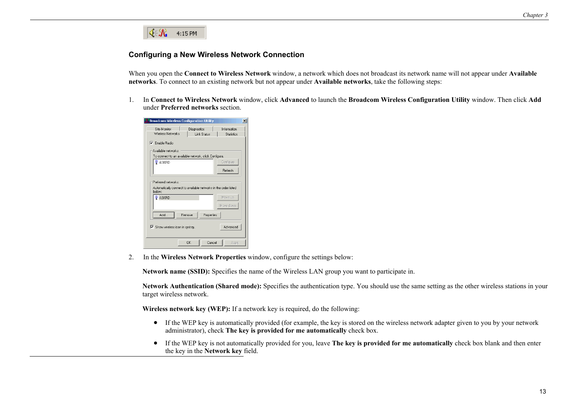

#### **Configuring a New Wireless Network Connection**

When you open the **Connect to Wireless Network** window, a network which does not broadcast its network name will not appear under **Available networks**. To connect to an existing network but not appear under **Available networks**, take the following steps:

1. In **Connect to Wireless Network** window, click **Advanced** to launch the **Broadcom Wireless Configuration Utility** window. Then click **Add** under **Preferred networks** section.

| <b>Broadcom Wireless Configuration Utility</b>                                                                     | $\vert x \vert$                  |
|--------------------------------------------------------------------------------------------------------------------|----------------------------------|
| Site Monitor<br>Diagnostics<br>Wireless Networks<br><b>Link Status</b>                                             | Information<br><b>Statistics</b> |
| $\nabla$ Fnable Badio                                                                                              |                                  |
| Available networks:                                                                                                |                                  |
| To connect to an available network, click Configure.                                                               |                                  |
| $\circ$ ASKRD                                                                                                      | Configure                        |
|                                                                                                                    | Refresh                          |
| Preferred networks:<br>Automatically connect to available networks in the order listed<br>below:<br><b>Q</b> ASKRD | Move up                          |
|                                                                                                                    | Move down                        |
| Add<br><b>Bemove</b><br>Properties                                                                                 |                                  |
| Show wireless icon in systray.                                                                                     | Advanced                         |
| Cancel<br>ΩK                                                                                                       | Apply                            |

2. In the **Wireless Network Properties** window, configure the settings below:

**Network name (SSID):** Specifies the name of the Wireless LAN group you want to participate in.

**Network Authentication (Shared mode):** Specifies the authentication type. You should use the same setting as the other wireless stations in your target wireless network.

**Wireless network key (WEP):** If a network key is required, do the following:

- If the WEP key is automatically provided (for example, the key is stored on the wireless network adapter given to you by your network administrator), check **The key is provided for me automatically** check box.
- If the WEP key is not automatically provided for you, leave **The key is provided for me automatically** check box blank and then enter the key in the **Network key** field.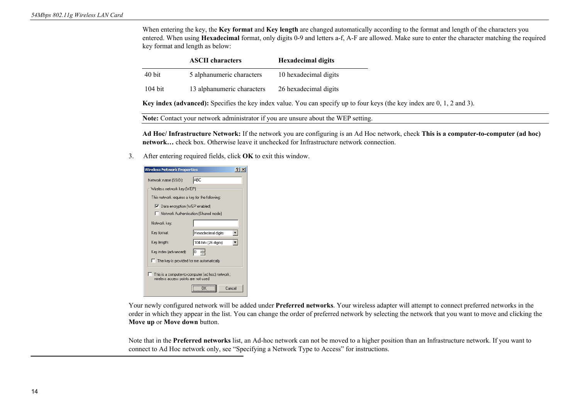When entering the key, the **Key format** and **Key length** are changed automatically according to the format and length of the characters you entered. When using **Hexadecimal** format, only digits 0-9 and letters a-f, A-F are allowed. Make sure to enter the character matching the required key format and length as below:

|           | <b>ASCII</b> characters    | <b>Hexadecimal digits</b> |
|-----------|----------------------------|---------------------------|
| 40 bit    | 5 alphanumeric characters  | 10 hexadecimal digits     |
| $104$ bit | 13 alphanumeric characters | 26 hexadecimal digits     |

**Key index (advanced):** Specifies the key index value. You can specify up to four keys (the key index are 0, 1, 2 and 3).

**Note:** Contact your network administrator if you are unsure about the WEP setting.

**Ad Hoc/ Infrastructure Network:** If the network you are configuring is an Ad Hoc network, check **This is a computer-to-computer (ad hoc) network…** check box. Otherwise leave it unchecked for Infrastructure network connection.

3. After entering required fields, click **OK** to exit this window.

| Wireless Network Properties                                                             |                      |  |
|-----------------------------------------------------------------------------------------|----------------------|--|
| Network name (SSID):                                                                    | ABC                  |  |
| Wireless network key [WEP]                                                              |                      |  |
| This network requires a key for the following:                                          |                      |  |
| Ⅳ Data encryption (WEP enabled)                                                         |                      |  |
| Network Authentication (Shared mode)                                                    |                      |  |
| Network kev:                                                                            |                      |  |
| Key format:                                                                             | Hexadecimal digits   |  |
| Key length:                                                                             | 104 bits (26 digits) |  |
| Key index (advanced):                                                                   | 0                    |  |
| $\Box$ The key is provided for me automatically                                         |                      |  |
| This is a computer-to-computer (ad hoc) network;<br>wireless access points are not used |                      |  |
|                                                                                         | Cancel               |  |

Your newly configured network will be added under **Preferred networks**. Your wireless adapter will attempt to connect preferred networks in the order in which they appear in the list. You can change the order of preferred network by selecting the network that you want to move and clicking the **Move up** or **Move down** button.

Note that in the **Preferred networks** list, an Ad-hoc network can not be moved to a higher position than an Infrastructure network. If you want to connect to Ad Hoc network only, see "Specifying a Network Type to Access" for instructions.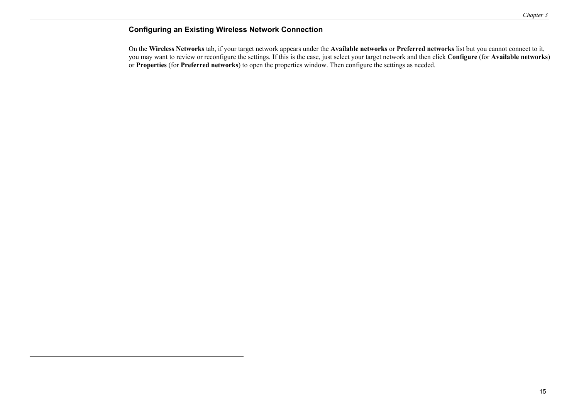## **Configuring an Existing Wireless Network Connection**

On the **Wireless Networks** tab, if your target network appears under the **Available networks** or **Preferred networks** list but you cannot connect to it, you may want to review or reconfigure the settings. If this is the case, just select your target network and then click **Configure** (for **Available networks**) or **Properties** (for **Preferred networks**) to open the properties window. Then configure the settings as needed.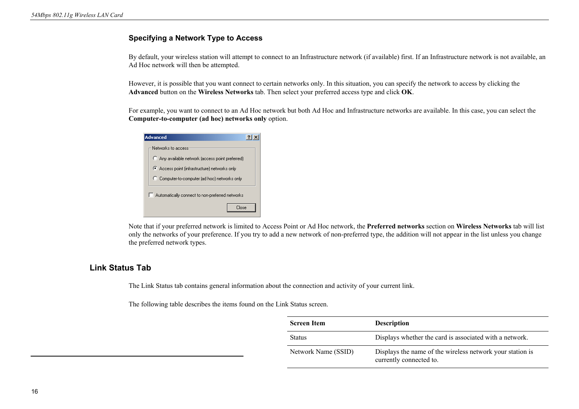### **Specifying a Network Type to Access**

By default, your wireless station will attempt to connect to an Infrastructure network (if available) first. If an Infrastructure network is not available, an Ad Hoc network will then be attempted.

However, it is possible that you want connect to certain networks only. In this situation, you can specify the network to access by clicking the **Advanced** button on the **Wireless Networks** tab. Then select your preferred access type and click **OK**.

For example, you want to connect to an Ad Hoc network but both Ad Hoc and Infrastructure networks are available. In this case, you can select the **Computer-to-computer (ad hoc) networks only** option.

| <b>Advanced</b>                                 |
|-------------------------------------------------|
| Networks to access                              |
| Any available network (access point preferred)  |
| Access point (infrastructure) networks only     |
| C Computer-to-computer (ad hoc) networks only   |
| Automatically connect to non-preferred networks |
| Close                                           |

Note that if your preferred network is limited to Access Point or Ad Hoc network, the **Preferred networks** section on **Wireless Networks** tab will list only the networks of your preference. If you try to add a new network of non-preferred type, the addition will not appear in the list unless you change the preferred network types.

## **Link Status Tab**

The Link Status tab contains general information about the connection and activity of your current link.

The following table describes the items found on the Link Status screen.

| <b>Screen Item</b>  | <b>Description</b>                                                                   |
|---------------------|--------------------------------------------------------------------------------------|
| <b>Status</b>       | Displays whether the card is associated with a network.                              |
| Network Name (SSID) | Displays the name of the wireless network your station is<br>currently connected to. |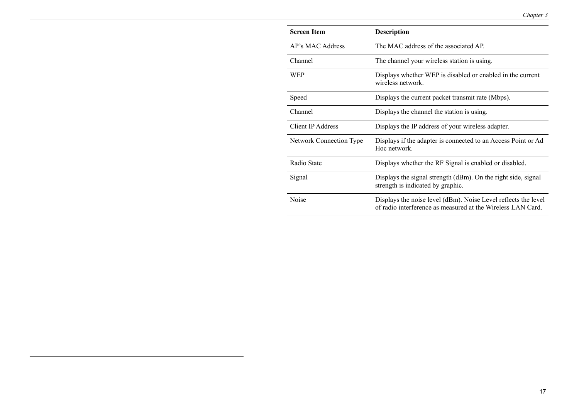| <b>Screen Item</b>      | <b>Description</b>                                                                                                            |
|-------------------------|-------------------------------------------------------------------------------------------------------------------------------|
| AP's MAC Address        | The MAC address of the associated AP.                                                                                         |
| Channel                 | The channel your wireless station is using.                                                                                   |
| WEP                     | Displays whether WEP is disabled or enabled in the current<br>wireless network.                                               |
| Speed                   | Displays the current packet transmit rate (Mbps).                                                                             |
| Channel                 | Displays the channel the station is using.                                                                                    |
| Client IP Address       | Displays the IP address of your wireless adapter.                                                                             |
| Network Connection Type | Displays if the adapter is connected to an Access Point or Ad<br>Hoc network                                                  |
| Radio State             | Displays whether the RF Signal is enabled or disabled.                                                                        |
| Signal                  | Displays the signal strength (dBm). On the right side, signal<br>strength is indicated by graphic.                            |
| Noise                   | Displays the noise level (dBm). Noise Level reflects the level<br>of radio interference as measured at the Wireless LAN Card. |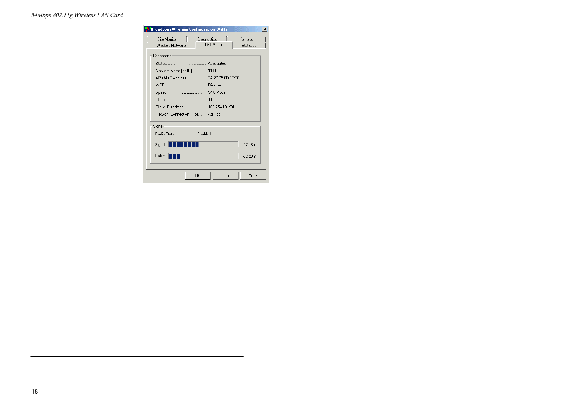| <b>Broadcom Wireless Configuration Utility</b> |                    | ×                 |
|------------------------------------------------|--------------------|-------------------|
| Site Monitor                                   | L<br>Diagnostics   | Information       |
| Wireless Networks                              | <b>Link Status</b> | <b>Statistics</b> |
| Connection-                                    |                    |                   |
|                                                |                    |                   |
| Network Name (SSID) 1111                       |                    |                   |
|                                                |                    |                   |
|                                                |                    |                   |
|                                                |                    |                   |
|                                                |                    |                   |
| Client IP Address 169.254.19.204               |                    |                   |
| Network Connection Type Ad Hoc                 |                    |                   |
| Signal                                         |                    |                   |
| Radio State Enabled                            |                    |                   |
| - 111<br>Signal:                               |                    | $-57$ dBm         |
| Noise:                                         |                    | $-82$ dBm         |
|                                                |                    |                   |
|                                                | Cancel<br>0K       | Apply             |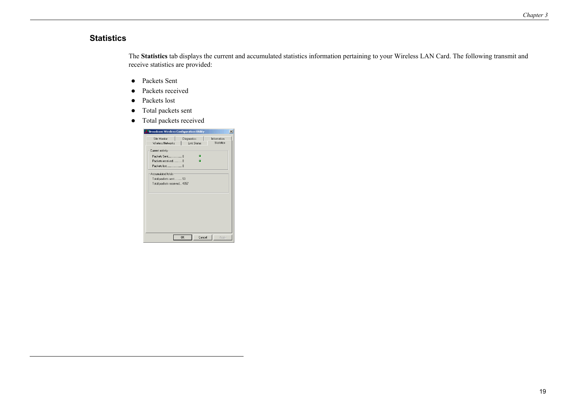#### **Statistics**

The **Statistics** tab displays the current and accumulated statistics information pertaining to your Wireless LAN Card. The following transmit and receive statistics are provided:

- Packets Sent
- Packets received
- Packets lost
- Total packets sent
- Total packets received

| Site Monitor                | <b>Diagnostics</b> | Information       |
|-----------------------------|--------------------|-------------------|
| Wireless Networks           | <b>Link Status</b> | <b>Statistics</b> |
| Current activity            |                    |                   |
|                             |                    |                   |
| Packets received0           |                    |                   |
|                             |                    |                   |
| Accumulated totals:         |                    |                   |
| Total packets sent 53       |                    |                   |
| Total packets received 4357 |                    |                   |
|                             |                    |                   |
|                             |                    |                   |
|                             |                    |                   |
|                             |                    |                   |
|                             |                    |                   |
|                             |                    |                   |
|                             |                    |                   |
|                             |                    |                   |
|                             |                    |                   |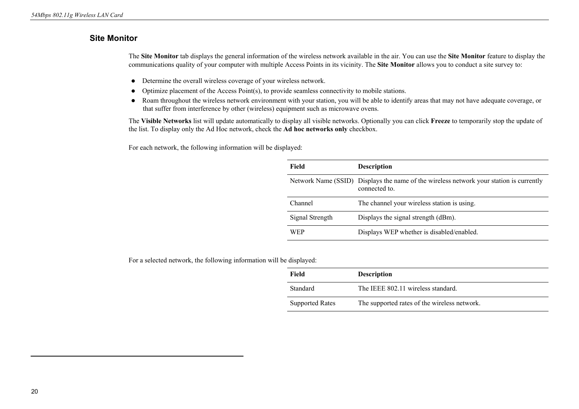## **Site Monitor**

The **Site Monitor** tab displays the general information of the wireless network available in the air. You can use the **Site Monitor** feature to display the communications quality of your computer with multiple Access Points in its vicinity. The **Site Monitor** allows you to conduct a site survey to:

- Determine the overall wireless coverage of your wireless network.
- $\bullet$  Optimize placement of the Access Point(s), to provide seamless connectivity to mobile stations.
- Roam throughout the wireless network environment with your station, you will be able to identify areas that may not have adequate coverage, or that suffer from interference by other (wireless) equipment such as microwave ovens.

The **Visible Networks** list will update automatically to display all visible networks. Optionally you can click **Freeze** to temporarily stop the update of the list. To display only the Ad Hoc network, check the **Ad hoc networks only** checkbox.

For each network, the following information will be displayed:

| Field           | <b>Description</b>                                                                                       |
|-----------------|----------------------------------------------------------------------------------------------------------|
|                 | Network Name (SSID) Displays the name of the wireless network your station is currently<br>connected to. |
| Channel         | The channel your wireless station is using.                                                              |
| Signal Strength | Displays the signal strength (dBm).                                                                      |
| WEP             | Displays WEP whether is disabled/enabled.                                                                |

For a selected network, the following information will be displayed:

| Field                  | <b>Description</b>                           |
|------------------------|----------------------------------------------|
| Standard               | The IEEE 802.11 wireless standard.           |
| <b>Supported Rates</b> | The supported rates of the wireless network. |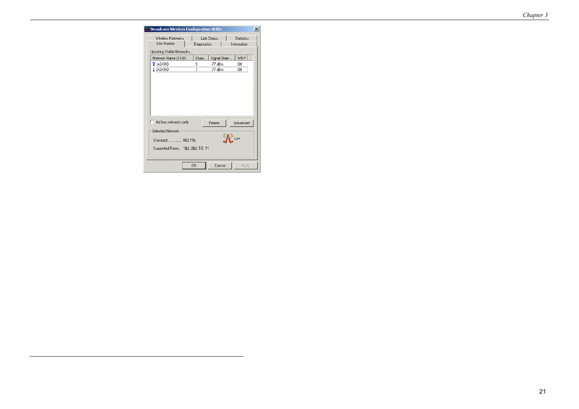| Site Monitor                                    | <b>Diagnostics</b> | <b>Link Status</b>     | <b>Statistics</b><br>Information |
|-------------------------------------------------|--------------------|------------------------|----------------------------------|
| Updating Visible Networks                       |                    |                        |                                  |
| Network Name (SSID)                             | Chan               | Signal Stren           | WEP                              |
| $\circ$ askrd<br><b>L</b> ASKRD                 | 9<br>7             | $-77$ dBm<br>$-77$ dBm | Off<br>Off                       |
|                                                 |                    |                        |                                  |
|                                                 |                    |                        |                                  |
| Ad hoc networks only<br><b>Selected Network</b> |                    | Freeze                 | Advanced                         |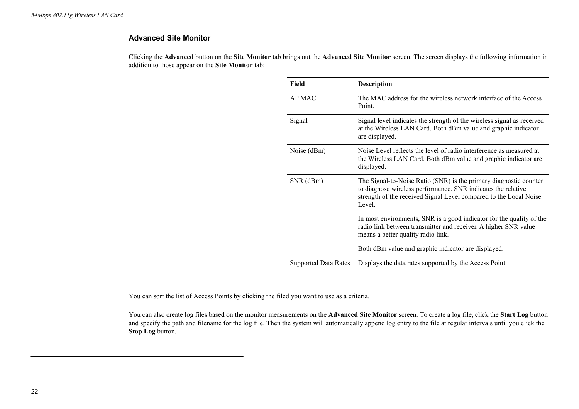#### **Advanced Site Monitor**

Clicking the **Advanced** button on the **Site Monitor** tab brings out the **Advanced Site Monitor** screen. The screen displays the following information in addition to those appear on the **Site Monitor** tab:

| Field                       | Description                                                                                                                                                                                                      |
|-----------------------------|------------------------------------------------------------------------------------------------------------------------------------------------------------------------------------------------------------------|
| AP MAC                      | The MAC address for the wireless network interface of the Access<br>Point.                                                                                                                                       |
| Signal                      | Signal level indicates the strength of the wireless signal as received<br>at the Wireless LAN Card. Both dBm value and graphic indicator<br>are displayed.                                                       |
| Noise (dBm)                 | Noise Level reflects the level of radio interference as measured at<br>the Wireless LAN Card. Both dBm value and graphic indicator are<br>displayed.                                                             |
| SNR (dBm)                   | The Signal-to-Noise Ratio (SNR) is the primary diagnostic counter<br>to diagnose wireless performance. SNR indicates the relative<br>strength of the received Signal Level compared to the Local Noise<br>Level. |
|                             | In most environments, SNR is a good indicator for the quality of the<br>radio link between transmitter and receiver. A higher SNR value<br>means a better quality radio link.                                    |
|                             | Both dBm value and graphic indicator are displayed.                                                                                                                                                              |
| <b>Supported Data Rates</b> | Displays the data rates supported by the Access Point.                                                                                                                                                           |

You can sort the list of Access Points by clicking the filed you want to use as a criteria.

You can also create log files based on the monitor measurements on the **Advanced Site Monitor** screen. To create a log file, click the **Start Log** button and specify the path and filename for the log file. Then the system will automatically append log entry to the file at regular intervals until you click the **Stop Log** button.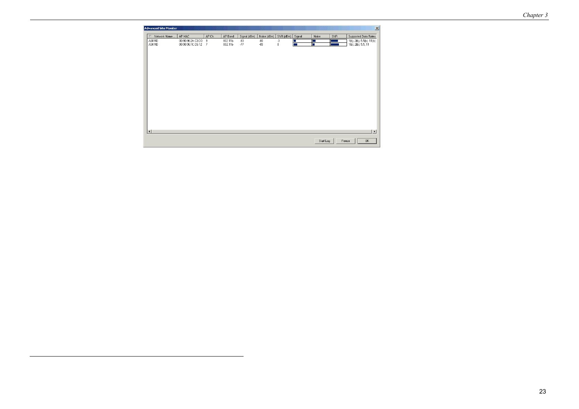| Network Name<br>$\overline{\nabla}$ | AP MAC                                 | AP Ch.      | AP Band            | Signal (dBm)   | Noise (dBm)    | $SNR$ (dBm)    | Signal | Noise                  | SNR | Supported Data Rates                             |
|-------------------------------------|----------------------------------------|-------------|--------------------|----------------|----------------|----------------|--------|------------------------|-----|--------------------------------------------------|
| ASKRD<br>ASKRD                      | 00:90:96:2A:C3:DD<br>00:90:96:1C:C6:12 | $_{9}$<br>7 | 802.11b<br>802.11b | $-83$<br>$-77$ | $-80$<br>$-85$ | $\cdot$ 3<br>8 | E      | <b>CONTRACTOR</b><br>г |     | 1(b), 2(b), 5.5(b), 11(b)<br>1(b), 2(b), 5.5, 11 |
|                                     |                                        |             |                    |                |                |                |        |                        |     |                                                  |
| $\left  \cdot \right $              |                                        |             |                    |                |                |                |        |                        |     | $\blacktriangleright$                            |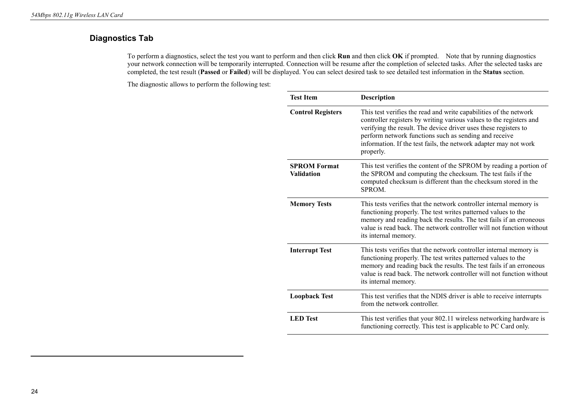## **Diagnostics Tab**

To perform a diagnostics, select the test you want to perform and then click **Run** and then click **OK** if prompted. Note that by running diagnostics your network connection will be temporarily interrupted. Connection will be resume after the completion of selected tasks. After the selected tasks are completed, the test result (**Passed** or **Failed**) will be displayed. You can select desired task to see detailed test information in the **Status** section.

The diagnostic allows to perform the following test:

| <b>Test Item</b>                  | <b>Description</b>                                                                                                                                                                                                                                                                                                                                    |
|-----------------------------------|-------------------------------------------------------------------------------------------------------------------------------------------------------------------------------------------------------------------------------------------------------------------------------------------------------------------------------------------------------|
| <b>Control Registers</b>          | This test verifies the read and write capabilities of the network<br>controller registers by writing various values to the registers and<br>verifying the result. The device driver uses these registers to<br>perform network functions such as sending and receive<br>information. If the test fails, the network adapter may not work<br>properly. |
| <b>SPROM Format</b><br>Validation | This test verifies the content of the SPROM by reading a portion of<br>the SPROM and computing the checksum. The test fails if the<br>computed checksum is different than the checksum stored in the<br>SPROM.                                                                                                                                        |
| <b>Memory Tests</b>               | This tests verifies that the network controller internal memory is<br>functioning properly. The test writes patterned values to the<br>memory and reading back the results. The test fails if an erroneous<br>value is read back. The network controller will not function without<br>its internal memory.                                            |
| <b>Interrupt Test</b>             | This tests verifies that the network controller internal memory is<br>functioning properly. The test writes patterned values to the<br>memory and reading back the results. The test fails if an erroneous<br>value is read back. The network controller will not function without<br>its internal memory.                                            |
| <b>Loopback Test</b>              | This test verifies that the NDIS driver is able to receive interrupts<br>from the network controller.                                                                                                                                                                                                                                                 |
| <b>LED</b> Test                   | This test verifies that your 802.11 wireless networking hardware is<br>functioning correctly. This test is applicable to PC Card only.                                                                                                                                                                                                                |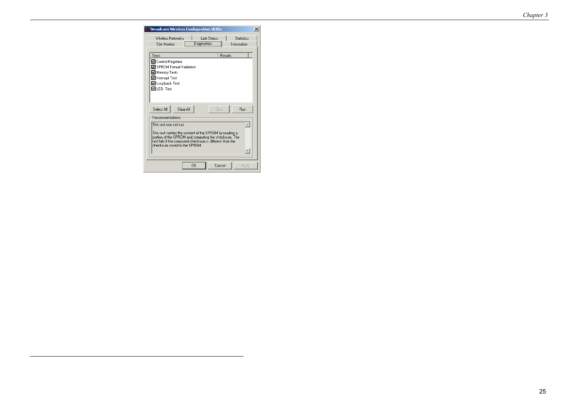|                                                                                            | <b>Broadcom Wireless Configuration Utility</b> |                    |         |                   | $\times$ |
|--------------------------------------------------------------------------------------------|------------------------------------------------|--------------------|---------|-------------------|----------|
| Wireless Networks                                                                          |                                                | <b>Link Status</b> |         | <b>Statistics</b> |          |
| Site Monitor                                                                               | Diagnostics                                    |                    |         | Information       |          |
| Tests                                                                                      |                                                |                    | Results |                   |          |
| ■ Control Registers                                                                        |                                                |                    |         |                   |          |
| ☑ SPROM Format Validation                                                                  |                                                |                    |         |                   |          |
| Memory Tests                                                                               |                                                |                    |         |                   |          |
| ■ Interrupt Test                                                                           |                                                |                    |         |                   |          |
| ☑ Loopback Test                                                                            |                                                |                    |         |                   |          |
| <b>⊽ILED Test</b>                                                                          |                                                |                    |         |                   |          |
|                                                                                            |                                                |                    |         |                   |          |
|                                                                                            |                                                |                    |         |                   |          |
|                                                                                            |                                                |                    |         |                   |          |
| Clear All<br>Select All                                                                    |                                                | Stop               |         | <b>Bun</b>        |          |
|                                                                                            |                                                |                    |         |                   |          |
| <b>Becommendations</b>                                                                     |                                                |                    |         |                   |          |
| This test was not run.                                                                     |                                                |                    |         |                   |          |
| This test verifies the content of the SPROM by reading a                                   |                                                |                    |         |                   |          |
| portion of the SPROM and computing the checksum. The                                       |                                                |                    |         |                   |          |
| test fails if the computed checksum is different than the<br>checksum stored in the SPROM. |                                                |                    |         |                   |          |
|                                                                                            |                                                |                    |         |                   |          |
|                                                                                            |                                                |                    |         |                   |          |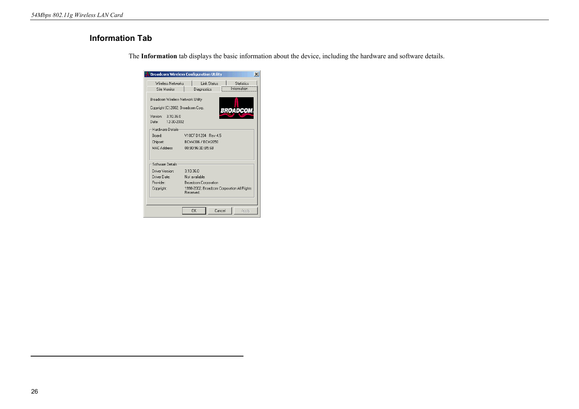## **Information Tab**

| Wireless Networks                  | Link Status<br><b>Statistics</b>                        |
|------------------------------------|---------------------------------------------------------|
| Site Monitor                       | Information<br>Diagnostics                              |
| Broadcom Wireless Network Utility  |                                                         |
| Copyright (C) 2002, Broadcom Corp. |                                                         |
|                                    | <b>BROADCOM</b>                                         |
| Version:<br>310.36.0               |                                                         |
| 12-30-2002<br>Date: .              |                                                         |
| Hardware Details                   |                                                         |
| Board:                             | V10CF D1204 Rev 4.5                                     |
| Chipset:                           | BCM4306 / BCM2050                                       |
| <b>MAC Address</b>                 | 00:90:96:3D:B5:6B                                       |
|                                    |                                                         |
| Software Details                   |                                                         |
| Driver Version:                    | 3.10.36.0                                               |
| Driver Date:                       | Not available.                                          |
|                                    | <b>Broadcom Corporation</b>                             |
| Provider:                          |                                                         |
| Copyright:                         | 1998-2002, Broadcom Corporation All Rights<br>Reserved. |
|                                    |                                                         |

The **Information** tab displays the basic information about the device, including the hardware and software details.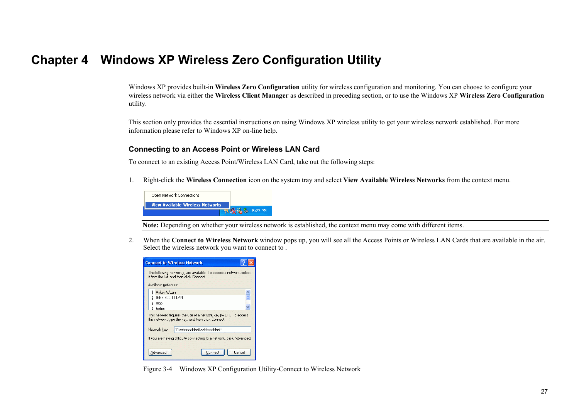## **Chapter 4 Windows XP Wireless Zero Configuration Utility**

Windows XP provides built-in **Wireless Zero Configuration** utility for wireless configuration and monitoring. You can choose to configure your wireless network via either the **Wireless Client Manager** as described in preceding section, or to use the Windows XP **Wireless Zero Configuration**  utility.

This section only provides the essential instructions on using Windows XP wireless utility to get your wireless network established. For more information please refer to Windows XP on-line help.

#### **Connecting to an Access Point or Wireless LAN Card**

To connect to an existing Access Point/Wireless LAN Card, take out the following steps:

1. Right-click the **Wireless Connection** icon on the system tray and select **View Available Wireless Networks** from the context menu.



**Note:** Depending on whether your wireless network is established, the context menu may come with different items.

2. When the **Connect to Wireless Network** window pops up, you will see all the Access Points or Wireless LAN Cards that are available in the air. Select the wireless network you want to connect to .

| <b>Connect to Wireless Network</b>                                                                                                                                                  |  |
|-------------------------------------------------------------------------------------------------------------------------------------------------------------------------------------|--|
| The following network[s] are available. To access a network, select<br>it from the list, and then click Connect.<br>Available networks:                                             |  |
| & Askev-WLan<br><b>IEEE 802.11 LAN</b><br>Illop<br>helios<br>This network requires the use of a network key [WEP]. To access<br>this network, type the key, and then click Connect. |  |
| Network key:<br>11aabbccddeeffaabbccddeeff<br>If you are having difficulty connecting to a network, click Advanced.                                                                 |  |
| Advanced.<br>Connect<br>Cancel                                                                                                                                                      |  |

Figure 3-4 Windows XP Configuration Utility-Connect to Wireless Network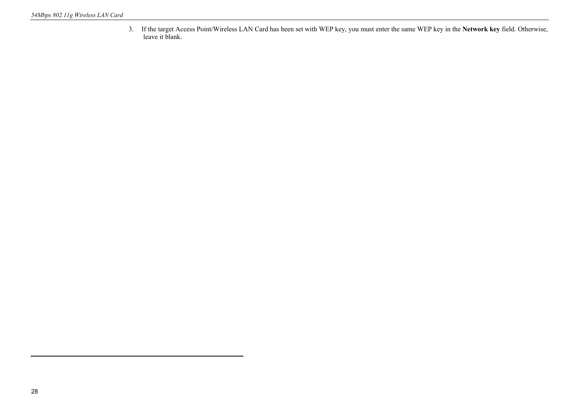3. If the target Access Point/Wireless LAN Card has been set with WEP key, you must enter the same WEP key in the **Network key** field. Otherwise, leave it blank.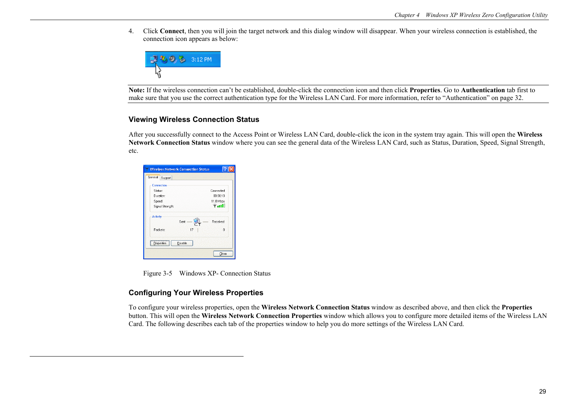4. Click **Connect**, then you will join the target network and this dialog window will disappear. When your wireless connection is established, the connection icon appears as below:



**Note:** If the wireless connection can't be established, double-click the connection icon and then click **Properties**. Go to **Authentication** tab first to make sure that you use the correct authentication type for the Wireless LAN Card. For more information, refer to "Authentication" on page 32.

#### **Viewing Wireless Connection Status**

After you successfully connect to the Access Point or Wireless LAN Card, double-click the icon in the system tray again. This will open the **Wireless Network Connection Status** window where you can see the general data of the Wireless LAN Card, such as Status, Duration, Speed, Signal Strength, etc.

| Connection            |                               |
|-----------------------|-------------------------------|
| Status:               | Connected                     |
| Duration:             | 00:06:10                      |
| Speed:                | 11.0 Mbps                     |
| Signal Strength:      | $\mathbb{R}$ and $\mathbb{R}$ |
| Activity              |                               |
| Sent                  | Received                      |
| Packets:              | 8<br>17                       |
| Disable<br>Properties |                               |

Figure 3-5 Windows XP- Connection Status

#### **Configuring Your Wireless Properties**

To configure your wireless properties, open the **Wireless Network Connection Status** window as described above, and then click the **Properties** button. This will open the **Wireless Network Connection Properties** window which allows you to configure more detailed items of the Wireless LAN Card. The following describes each tab of the properties window to help you do more settings of the Wireless LAN Card.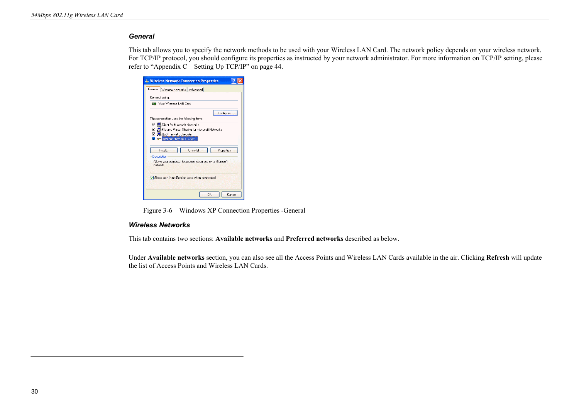#### *General*

This tab allows you to specify the network methods to be used with your Wireless LAN Card. The network policy depends on your wireless network. For TCP/IP protocol, you should configure its properties as instructed by your network administrator. For more information on TCP/IP setting, please refer to "Appendix C Setting Up TCP/IP" on page 44.

|                    | -- Wireless Network Connection Properties               |                  |            |        |
|--------------------|---------------------------------------------------------|------------------|------------|--------|
| General            | Wireless Networks   Advanced                            |                  |            |        |
| Connect using:     |                                                         |                  |            |        |
|                    | 图 Your Wireless LAN Card                                |                  |            |        |
|                    | This connection uses the following items:               |                  | Configure  |        |
|                    | ■ Client for Microsoft Networks                         |                  |            |        |
|                    | ■ B File and Printer Sharing for Microsoft Networks     |                  |            |        |
|                    | ■ B QoS Packet Scheduler                                |                  |            |        |
|                    | <b>V</b> R <sup>ed</sup> Internet Protocol (TCP/IP)     |                  |            |        |
|                    | Install                                                 | <b>Hninstall</b> | Properties |        |
|                    |                                                         |                  |            |        |
| <b>Description</b> | Allows your computer to access resources on a Microsoft |                  |            |        |
| network            |                                                         |                  |            |        |
|                    |                                                         |                  |            |        |
|                    | Show icon in notification area when connected           |                  |            |        |
|                    |                                                         |                  |            |        |
|                    |                                                         |                  |            |        |
|                    |                                                         |                  | OK         | Cancel |
|                    |                                                         |                  |            |        |

Figure 3-6 Windows XP Connection Properties -General

#### *Wireless Networks*

This tab contains two sections: **Available networks** and **Preferred networks** described as below.

Under **Available networks** section, you can also see all the Access Points and Wireless LAN Cards available in the air. Clicking **Refresh** will update the list of Access Points and Wireless LAN Cards.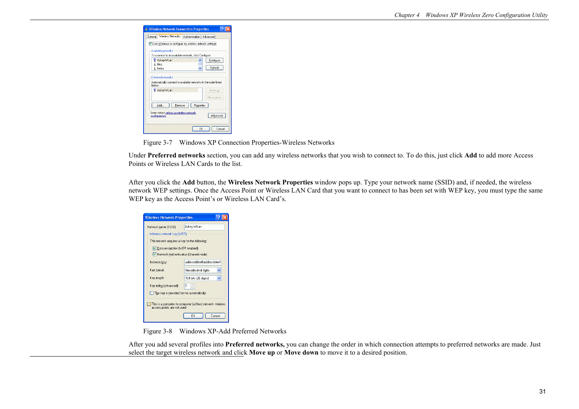|        | <b>L. Wireless Network Connection Properties</b>                                                                                       |            |           |  |
|--------|----------------------------------------------------------------------------------------------------------------------------------------|------------|-----------|--|
|        | General Wireless Networks   Authentication   Advanced                                                                                  |            |           |  |
|        | V Use Windows to configure my wireless network settings<br>Available networks:<br>To connect to an available network, click Configure. |            |           |  |
|        | Askey-WLan                                                                                                                             |            | Configure |  |
| ı<br>ı | Illop<br>helios                                                                                                                        |            | Refresh   |  |
| helow: | Askey-WLan                                                                                                                             |            | Move up   |  |
|        |                                                                                                                                        |            |           |  |
|        |                                                                                                                                        |            | Move down |  |
|        | Add<br>Remove                                                                                                                          | Properties |           |  |
|        | Learn about setting up wireless network<br>configuration.                                                                              |            | Advanced  |  |

Figure 3-7 Windows XP Connection Properties-Wireless Networks

Under **Preferred networks** section, you can add any wireless networks that you wish to connect to. To do this, just click **Add** to add more Access Points or Wireless LAN Cards to the list.

After you click the **Add** button, the **Wireless Network Properties** window pops up. Type your network name (SSID) and, if needed, the wireless network WEP settings. Once the Access Point or Wireless LAN Card that you want to connect to has been set with WEP key, you must type the same WEP key as the Access Point's or Wireless LAN Card's.

| Network name (SSID):                           | Askey-WLan               |  |
|------------------------------------------------|--------------------------|--|
| Wireless network key [WEP]                     |                          |  |
| This network requires a key for the following: |                          |  |
| Data encryption (WEP enabled)                  |                          |  |
| V Network Authentication (Shared mode)         |                          |  |
| Network kev:                                   | aabbccddeeffaabbccddeeff |  |
| Key format:                                    | Hexadecimal digits       |  |
| Key length:                                    | 104 bits (26 digits)     |  |
| Key index (advanced):                          | n<br>$\sim$              |  |
| The key is provided for me automatically       |                          |  |

Figure 3-8 Windows XP-Add Preferred Networks

After you add several profiles into **Preferred networks,** you can change the order in which connection attempts to preferred networks are made. Just select the target wireless network and click **Move up** or **Move down** to move it to a desired position.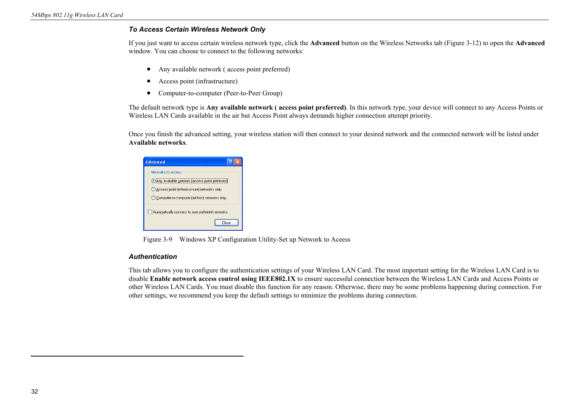#### *To Access Certain Wireless Network Only*

If you just want to access certain wireless network type, click the **Advanced** button on the Wireless Networks tab (Figure 3-12) to open the **Advanced** window. You can choose to connect to the following networks:

- Any available network (access point preferred)
- Access point (infrastructure)
- Computer-to-computer (Peer-to-Peer Group)

The default network type is **Any available network ( access point preferred)**. In this network type, your device will connect to any Access Points or Wireless LAN Cards available in the air but Access Point always demands higher connection attempt priority.

Once you finish the advanced setting, your wireless station will then connect to your desired network and the connected network will be listed under **Available networks**.

| <b>Advanced</b>                                                                                                                                                      |  |
|----------------------------------------------------------------------------------------------------------------------------------------------------------------------|--|
| Networks to access<br>Any available network (access point preferred)<br>Access point [infrastructure] networks only<br>◯ Computer-to-computer (ad hoc) networks only |  |
| Automatically connect to non-preferred networks<br>Close                                                                                                             |  |

Figure 3-9 Windows XP Configuration Utility-Set up Network to Aceess

#### *Authentication*

This tab allows you to configure the authentication settings of your Wireless LAN Card. The most important setting for the Wireless LAN Card is to disable **Enable network access control using IEEE802.1X** to ensure successful connection between the Wireless LAN Cards and Access Points or other Wireless LAN Cards. You must disable this function for any reason. Otherwise, there may be some problems happening during connection. For other settings, we recommend you keep the default settings to minimize the problems during connection.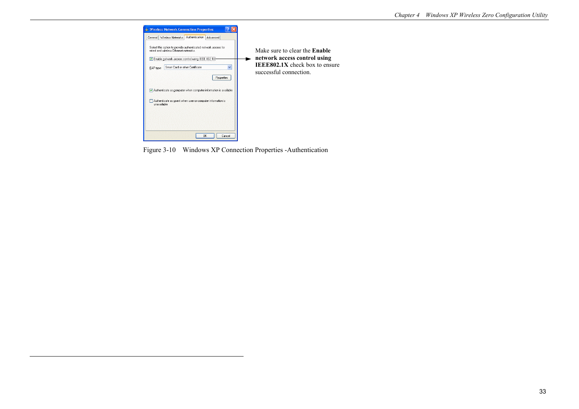

Figure 3-10 Windows XP Connection Properties -Authentication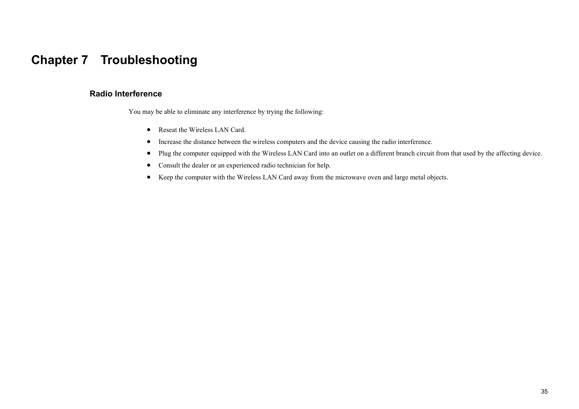## **Chapter 7 Troubleshooting**

### **Radio Interference**

You may be able to eliminate any interference by trying the following:

- Reseat the Wireless LAN Card.
- Increase the distance between the wireless computers and the device causing the radio interference.
- Plug the computer equipped with the Wireless LAN Card into an outlet on a different branch circuit from that used by the affecting device.
- Consult the dealer or an experienced radio technician for help.
- Keep the computer with the Wireless LAN Card away from the microwave oven and large metal objects.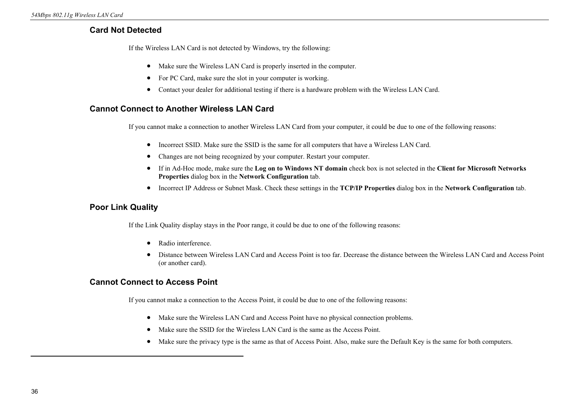## **Card Not Detected**

If the Wireless LAN Card is not detected by Windows, try the following:

- Make sure the Wireless LAN Card is properly inserted in the computer.
- For PC Card, make sure the slot in your computer is working.
- Contact your dealer for additional testing if there is a hardware problem with the Wireless LAN Card.

## **Cannot Connect to Another Wireless LAN Card**

If you cannot make a connection to another Wireless LAN Card from your computer, it could be due to one of the following reasons:

- Incorrect SSID. Make sure the SSID is the same for all computers that have a Wireless LAN Card.
- Changes are not being recognized by your computer. Restart your computer.
- If in Ad-Hoc mode, make sure the **Log on to Windows NT domain** check box is not selected in the **Client for Microsoft Networks Properties** dialog box in the **Network Configuration** tab.
- Incorrect IP Address or Subnet Mask. Check these settings in the **TCP/IP Properties** dialog box in the **Network Configuration** tab.

## **Poor Link Quality**

If the Link Quality display stays in the Poor range, it could be due to one of the following reasons:

- Radio interference.
- Distance between Wireless LAN Card and Access Point is too far. Decrease the distance between the Wireless LAN Card and Access Point (or another card).

## **Cannot Connect to Access Point**

If you cannot make a connection to the Access Point, it could be due to one of the following reasons:

- Make sure the Wireless LAN Card and Access Point have no physical connection problems.
- Make sure the SSID for the Wireless LAN Card is the same as the Access Point.
- Make sure the privacy type is the same as that of Access Point. Also, make sure the Default Key is the same for both computers.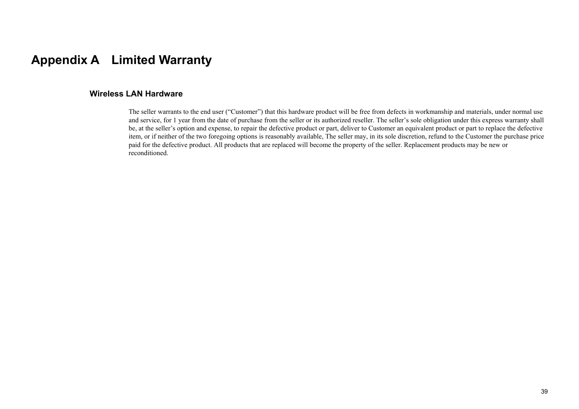## **Appendix A Limited Warranty**

### **Wireless LAN Hardware**

The seller warrants to the end user ("Customer") that this hardware product will be free from defects in workmanship and materials, under normal use and service, for 1 year from the date of purchase from the seller or its authorized reseller. The seller's sole obligation under this express warranty shall be, at the seller's option and expense, to repair the defective product or part, deliver to Customer an equivalent product or part to replace the defective item, or if neither of the two foregoing options is reasonably available, The seller may, in its sole discretion, refund to the Customer the purchase price paid for the defective product. All products that are replaced will become the property of the seller. Replacement products may be new or reconditioned.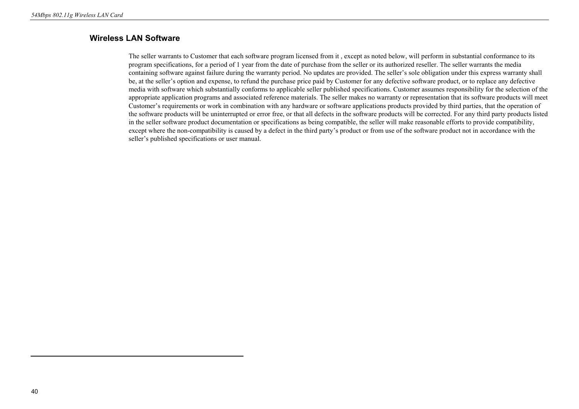## **Wireless LAN Software**

The seller warrants to Customer that each software program licensed from it , except as noted below, will perform in substantial conformance to its program specifications, for a period of 1 year from the date of purchase from the seller or its authorized reseller. The seller warrants the media containing software against failure during the warranty period. No updates are provided. The seller's sole obligation under this express warranty shall be, at the seller's option and expense, to refund the purchase price paid by Customer for any defective software product, or to replace any defective media with software which substantially conforms to applicable seller published specifications. Customer assumes responsibility for the selection of the appropriate application programs and associated reference materials. The seller makes no warranty or representation that its software products will meet Customer's requirements or work in combination with any hardware or software applications products provided by third parties, that the operation of the software products will be uninterrupted or error free, or that all defects in the software products will be corrected. For any third party products listed in the seller software product documentation or specifications as being compatible, the seller will make reasonable efforts to provide compatibility, except where the non-compatibility is caused by a defect in the third party's product or from use of the software product not in accordance with the seller's published specifications or user manual.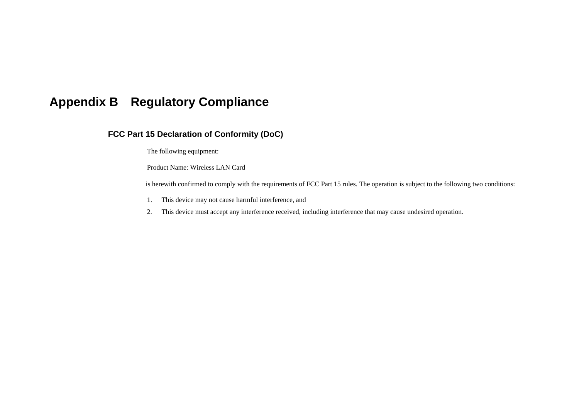## **Appendix B Regulatory Compliance**

## **FCC Part 15 Declaration of Conformity (DoC)**

The following equipment:

Product Name: Wireless LAN Card

is herewith confirmed to comply with the requirements of FCC Part 15 rules. The operation is subject to the following two conditions:

- 1. This device may not cause harmful interference, and
- 2. This device must accept any interference received, including interference that may cause undesired operation.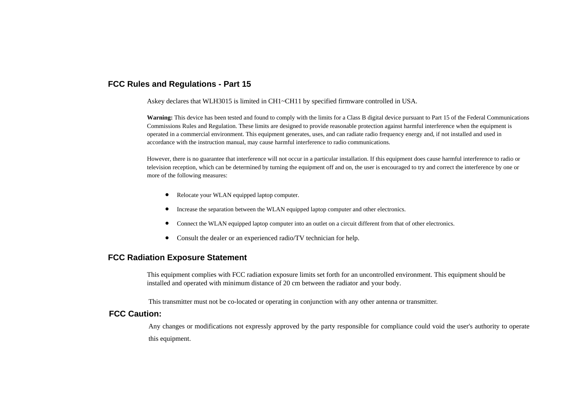### **FCC Rules and Regulations - Part 15**

Askey declares that WLH3015 is limited in CH1~CH11 by specified firmware controlled in USA.

**Warning:** This device has been tested and found to comply with the limits for a Class B digital device pursuant to Part 15 of the Federal Communications Commissions Rules and Regulation. These limits are designed to provide reasonable protection against harmful interference when the equipment is operated in a commercial environment. This equipment generates, uses, and can radiate radio frequency energy and, if not installed and used in accordance with the instruction manual, may cause harmful interference to radio communications.

However, there is no guarantee that interference will not occur in a particular installation. If this equipment does cause harmful interference to radio or television reception, which can be determined by turning the equipment off and on, the user is encouraged to try and correct the interference by one or more of the following measures:

- Relocate your WLAN equipped laptop computer.
- Increase the separation between the WLAN equipped laptop computer and other electronics.
- $\bullet$ Connect the WLAN equipped laptop computer into an outlet on a circuit different from that of other electronics.
- $\bullet$ Consult the dealer or an experienced radio/TV technician for help.

### **FCC Radiation Exposure Statement**

This equipment complies with FCC radiation exposure limits set forth for an uncontrolled environment. This equipment should be installed and operated with minimum distance of 20 cm between the radiator and your body.

This transmitter must not be co-located or operating in conjunction with any other antenna or transmitter.

### **FCC Caution:**

Any changes or modifications not expressly approved by the party responsible for compliance could void the user's authority to operate this equipment.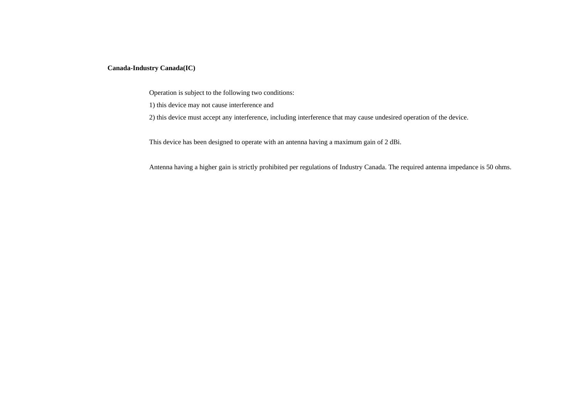#### **Canada-Industry Canada(IC)**

Operation is subject to the following two conditions:

1) this device may not cause interference and

2) this device must accept any interference, including interference that may cause undesired operation of the device.

This device has been designed to operate with an antenna having a maximum gain of 2 dBi.

Antenna having a higher gain is strictly prohibited per regulations of Industry Canada. The required antenna impedance is 50 ohms.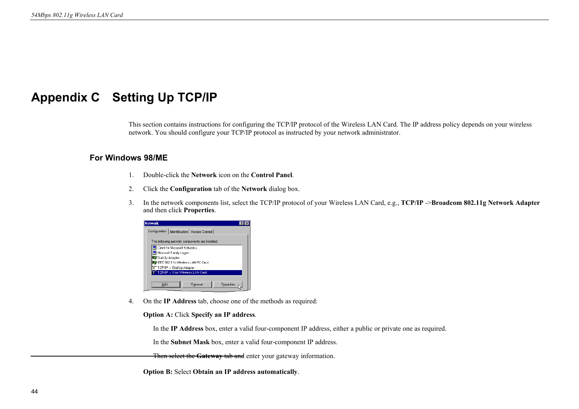## **Appendix C Setting Up TCP/IP**

This section contains instructions for configuring the TCP/IP protocol of the Wireless LAN Card. The IP address policy depends on your wireless network. You should configure your TCP/IP protocol as instructed by your network administrator.

### **For Windows 98/ME**

- 1. Double-click the **Network** icon on the **Control Panel**.
- 2. Click the **Configuration** tab of the **Network** dialog box.
- 3. In the network components list, select the TCP/IP protocol of your Wireless LAN Card, e.g., **TCP/IP** ->**Broadcom 802.11g Network Adapter** and then click **Properties**.

| <b>Network</b>                                                |  |
|---------------------------------------------------------------|--|
| Configuration   Identification   Access Control               |  |
| The following network components are installed:               |  |
| 믴 Client for Microsoft Networks                               |  |
| Microsoft Family Logon                                        |  |
| ■ Dial-Up Adapter                                             |  |
| IEEE 802.11b Wireless LAN PC Card                             |  |
| TCP/IP -> Dial-Up Adapter<br>TCP/IP -> Your Wireless LAN Card |  |
|                                                               |  |
| Properties<br>Remove                                          |  |
|                                                               |  |

4. On the **IP Address** tab, choose one of the methods as required:

#### **Option A:** Click **Specify an IP address**.

In the **IP Address** box, enter a valid four-component IP address, either a public or private one as required.

In the **Subnet Mask** box, enter a valid four-component IP address.

Then select the **Gateway** tab and enter your gateway information.

 **Option B:** Select **Obtain an IP address automatically**.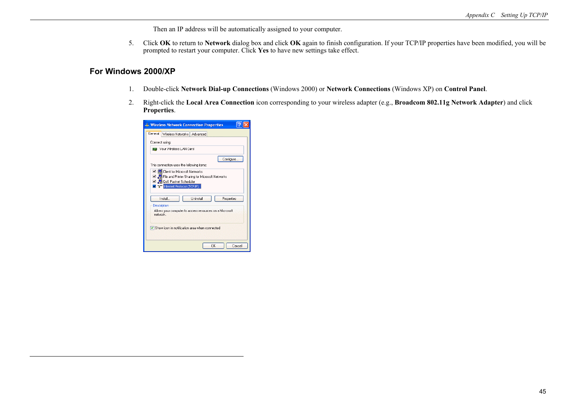Then an IP address will be automatically assigned to your computer.

5. Click **OK** to return to **Network** dialog box and click **OK** again to finish configuration. If your TCP/IP properties have been modified, you will be prompted to restart your computer. Click **Yes** to have new settings take effect.

#### **For Windows 2000/XP**

- 1. Double-click **Network Dial-up Connections** (Windows 2000) or **Network Connections** (Windows XP) on **Control Panel**.
- 2. Right-click the **Local Area Connection** icon corresponding to your wireless adapter (e.g., **Broadcom 802.11g Network Adapter**) and click **Properties**.

|                | <b>L. Wireless Network Connection Properties</b>                                         |                  |              |
|----------------|------------------------------------------------------------------------------------------|------------------|--------------|
| General        | Wireless Networks Advanced                                                               |                  |              |
| Connect using: |                                                                                          |                  |              |
|                | <b>图题</b> Your Wireless LAN Card                                                         |                  |              |
|                |                                                                                          |                  | Configure    |
|                | This connection uses the following items:                                                |                  |              |
|                | □ □ Client for Microsoft Networks<br>☑ ■ File and Printer Sharing for Microsoft Networks |                  |              |
|                | ■ B QoS Packet Scheduler                                                                 |                  |              |
|                | <b>v</b> B <sup>-</sup> Internet Protocol (TCP/IP)                                       |                  |              |
|                |                                                                                          |                  |              |
|                | Install                                                                                  | <b>Hninstall</b> | Properties   |
|                |                                                                                          |                  |              |
| Description    |                                                                                          |                  |              |
| network        | Allows your computer to access resources on a Microsoft                                  |                  |              |
|                |                                                                                          |                  |              |
|                |                                                                                          |                  |              |
|                | Show icon in notification area when connected                                            |                  |              |
|                |                                                                                          |                  |              |
|                |                                                                                          |                  |              |
|                |                                                                                          |                  | OK<br>Cancel |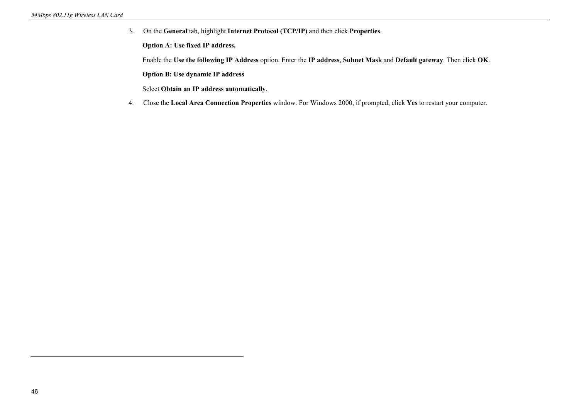3. On the **General** tab, highlight **Internet Protocol (TCP/IP)** and then click **Properties**.

**Option A: Use fixed IP address.** 

Enable the **Use the following IP Address** option. Enter the **IP address**, **Subnet Mask** and **Default gateway**. Then click **OK**.

**Option B: Use dynamic IP address** 

Select **Obtain an IP address automatically**.

4. Close the **Local Area Connection Properties** window. For Windows 2000, if prompted, click **Yes** to restart your computer.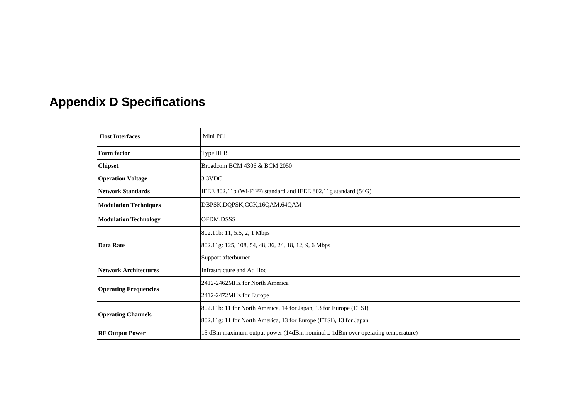# **Appendix D Specifications**

| <b>Host Interfaces</b>       | Mini PCI                                                                          |  |  |  |
|------------------------------|-----------------------------------------------------------------------------------|--|--|--|
| <b>Form factor</b>           | Type III B                                                                        |  |  |  |
| <b>Chipset</b>               | Broadcom BCM 4306 & BCM 2050                                                      |  |  |  |
| <b>Operation Voltage</b>     | 3.3VDC                                                                            |  |  |  |
| Network Standards            | IEEE 802.11b (Wi-Fi <sup>TM</sup> ) standard and IEEE 802.11g standard (54G)      |  |  |  |
| <b>Modulation Techniques</b> | DBPSK, DQPSK, CCK, 16QAM, 64QAM                                                   |  |  |  |
| <b>Modulation Technology</b> | OFDM,DSSS                                                                         |  |  |  |
|                              | 802.11b: 11, 5.5, 2, 1 Mbps                                                       |  |  |  |
| Data Rate                    | 802.11g: 125, 108, 54, 48, 36, 24, 18, 12, 9, 6 Mbps                              |  |  |  |
|                              | Support afterburner                                                               |  |  |  |
| <b>Network Architectures</b> | Infrastructure and Ad Hoc                                                         |  |  |  |
|                              | 2412-2462MHz for North America                                                    |  |  |  |
| <b>Operating Frequencies</b> | 2412-2472MHz for Europe                                                           |  |  |  |
|                              | 802.11b: 11 for North America, 14 for Japan, 13 for Europe (ETSI)                 |  |  |  |
| <b>Operating Channels</b>    | 802.11g: 11 for North America, 13 for Europe (ETSI), 13 for Japan                 |  |  |  |
| <b>RF Output Power</b>       | 15 dBm maximum output power (14dBm nominal $\pm$ 1dBm over operating temperature) |  |  |  |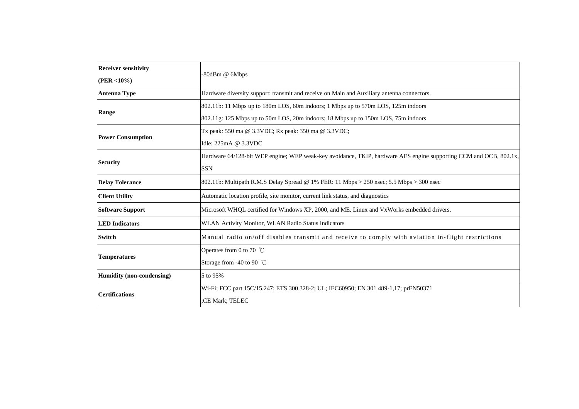| <b>Receiver sensitivity</b>                                                                                       |                                                                                                                   |  |  |  |  |
|-------------------------------------------------------------------------------------------------------------------|-------------------------------------------------------------------------------------------------------------------|--|--|--|--|
| $(PER < 10\%)$                                                                                                    | -80dBm @ 6Mbps                                                                                                    |  |  |  |  |
| <b>Antenna Type</b><br>Hardware diversity support: transmit and receive on Main and Auxiliary antenna connectors. |                                                                                                                   |  |  |  |  |
|                                                                                                                   | 802.11b: 11 Mbps up to 180m LOS, 60m indoors; 1 Mbps up to 570m LOS, 125m indoors                                 |  |  |  |  |
| Range                                                                                                             | 802.11g: 125 Mbps up to 50m LOS, 20m indoors; 18 Mbps up to 150m LOS, 75m indoors                                 |  |  |  |  |
|                                                                                                                   | Tx peak: 550 ma @ 3.3VDC; Rx peak: 350 ma @ 3.3VDC;                                                               |  |  |  |  |
| <b>Power Consumption</b>                                                                                          | Idle: 225mA @ 3.3VDC                                                                                              |  |  |  |  |
|                                                                                                                   | Hardware 64/128-bit WEP engine; WEP weak-key avoidance, TKIP, hardware AES engine supporting CCM and OCB, 802.1x, |  |  |  |  |
| <b>Security</b>                                                                                                   | <b>SSN</b>                                                                                                        |  |  |  |  |
| <b>Delay Tolerance</b>                                                                                            | 802.11b: Multipath R.M.S Delay Spread @ 1% FER: 11 Mbps > 250 nsec; 5.5 Mbps > 300 nsec                           |  |  |  |  |
| <b>Client Utility</b>                                                                                             | Automatic location profile, site monitor, current link status, and diagnostics                                    |  |  |  |  |
| <b>Software Support</b>                                                                                           | Microsoft WHQL certified for Windows XP, 2000, and ME. Linux and VxWorks embedded drivers.                        |  |  |  |  |
| <b>LED</b> Indicators                                                                                             | WLAN Activity Monitor, WLAN Radio Status Indicators                                                               |  |  |  |  |
| <b>Switch</b>                                                                                                     | Manual radio on/off disables transmit and receive to comply with aviation in-flight restrictions                  |  |  |  |  |
|                                                                                                                   | Operates from 0 to 70 $\degree$ C                                                                                 |  |  |  |  |
| <b>Temperatures</b>                                                                                               | Storage from -40 to 90 $^{\circ}$ C                                                                               |  |  |  |  |
| Humidity (non-condensing)                                                                                         | 5 to 95%                                                                                                          |  |  |  |  |
|                                                                                                                   | Wi-Fi; FCC part 15C/15.247; ETS 300 328-2; UL; IEC60950; EN 301 489-1.17; prEN50371                               |  |  |  |  |
| <b>Certifications</b>                                                                                             | CE Mark; TELEC:                                                                                                   |  |  |  |  |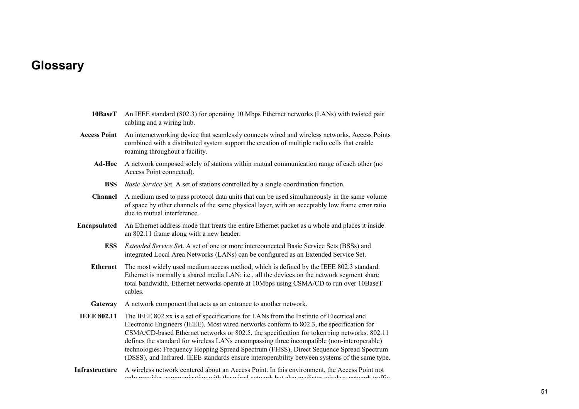# **Glossary**

| 10BaseT             | An IEEE standard (802.3) for operating 10 Mbps Ethernet networks (LANs) with twisted pair<br>cabling and a wiring hub.                                                                                                                                                                                                                                                                                                                                                                                                                                                         |
|---------------------|--------------------------------------------------------------------------------------------------------------------------------------------------------------------------------------------------------------------------------------------------------------------------------------------------------------------------------------------------------------------------------------------------------------------------------------------------------------------------------------------------------------------------------------------------------------------------------|
| <b>Access Point</b> | An internetworking device that seamlessly connects wired and wireless networks. Access Points<br>combined with a distributed system support the creation of multiple radio cells that enable<br>roaming throughout a facility.                                                                                                                                                                                                                                                                                                                                                 |
| Ad-Hoc              | A network composed solely of stations within mutual communication range of each other (no<br>Access Point connected).                                                                                                                                                                                                                                                                                                                                                                                                                                                          |
| <b>BSS</b>          | Basic Service Set. A set of stations controlled by a single coordination function.                                                                                                                                                                                                                                                                                                                                                                                                                                                                                             |
| <b>Channel</b>      | A medium used to pass protocol data units that can be used simultaneously in the same volume<br>of space by other channels of the same physical layer, with an acceptably low frame error ratio<br>due to mutual interference.                                                                                                                                                                                                                                                                                                                                                 |
| Encapsulated        | An Ethernet address mode that treats the entire Ethernet packet as a whole and places it inside<br>an 802.11 frame along with a new header.                                                                                                                                                                                                                                                                                                                                                                                                                                    |
| <b>ESS</b>          | <i>Extended Service Set.</i> A set of one or more interconnected Basic Service Sets (BSSs) and<br>integrated Local Area Networks (LANs) can be configured as an Extended Service Set.                                                                                                                                                                                                                                                                                                                                                                                          |
| <b>Ethernet</b>     | The most widely used medium access method, which is defined by the IEEE 802.3 standard.<br>Ethernet is normally a shared media LAN; i.e., all the devices on the network segment share<br>total bandwidth. Ethernet networks operate at 10Mbps using CSMA/CD to run over 10BaseT<br>cables.                                                                                                                                                                                                                                                                                    |
| Gateway             | A network component that acts as an entrance to another network.                                                                                                                                                                                                                                                                                                                                                                                                                                                                                                               |
| <b>IEEE 802.11</b>  | The IEEE 802.xx is a set of specifications for LANs from the Institute of Electrical and<br>Electronic Engineers (IEEE). Most wired networks conform to 802.3, the specification for<br>CSMA/CD-based Ethernet networks or 802.5, the specification for token ring networks. 802.11<br>defines the standard for wireless LANs encompassing three incompatible (non-interoperable)<br>technologies: Frequency Hopping Spread Spectrum (FHSS), Direct Sequence Spread Spectrum<br>(DSSS), and Infrared. IEEE standards ensure interoperability between systems of the same type. |
| Infrastructure      | A wireless network centered about an Access Point. In this environment, the Access Point not<br>only provided communication with the wired naturals but also modiated wireless naturals traffic                                                                                                                                                                                                                                                                                                                                                                                |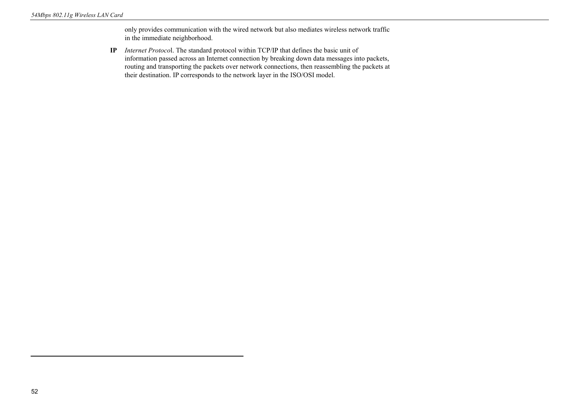only provides communication with the wired network but also mediates wireless network traffic in the immediate neighborhood.

**IP** *Internet Protoco*l. The standard protocol within TCP/IP that defines the basic unit of information passed across an Internet connection by breaking down data messages into packets, routing and transporting the packets over network connections, then reassembling the packets at their destination. IP corresponds to the network layer in the ISO/OSI model.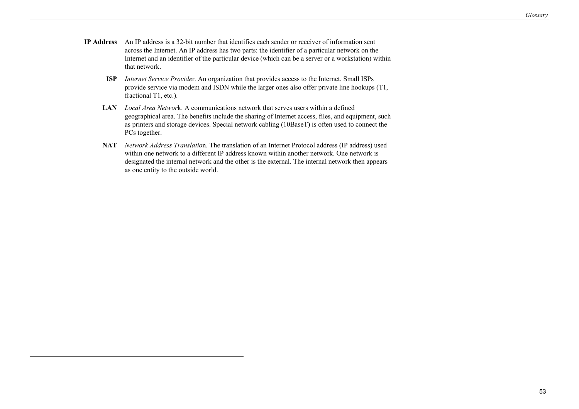- **IP Address** An IP address is a 32-bit number that identifies each sender or receiver of information sent across the Internet. An IP address has two parts: the identifier of a particular network on the Internet and an identifier of the particular device (which can be a server or a workstation) within that network.
	- **ISP** *Internet Service Provide*r. An organization that provides access to the Internet. Small ISPs provide service via modem and ISDN while the larger ones also offer private line hookups (T1, fractional T1, etc.).
	- **LAN** *Local Area Networ*k. A communications network that serves users within a defined geographical area. The benefits include the sharing of Internet access, files, and equipment, such as printers and storage devices. Special network cabling (10BaseT) is often used to connect the PCs together.
	- **NAT** *Network Address Translatio*n. The translation of an Internet Protocol address (IP address) used within one network to a different IP address known within another network. One network is designated the internal network and the other is the external. The internal network then appears as one entity to the outside world.